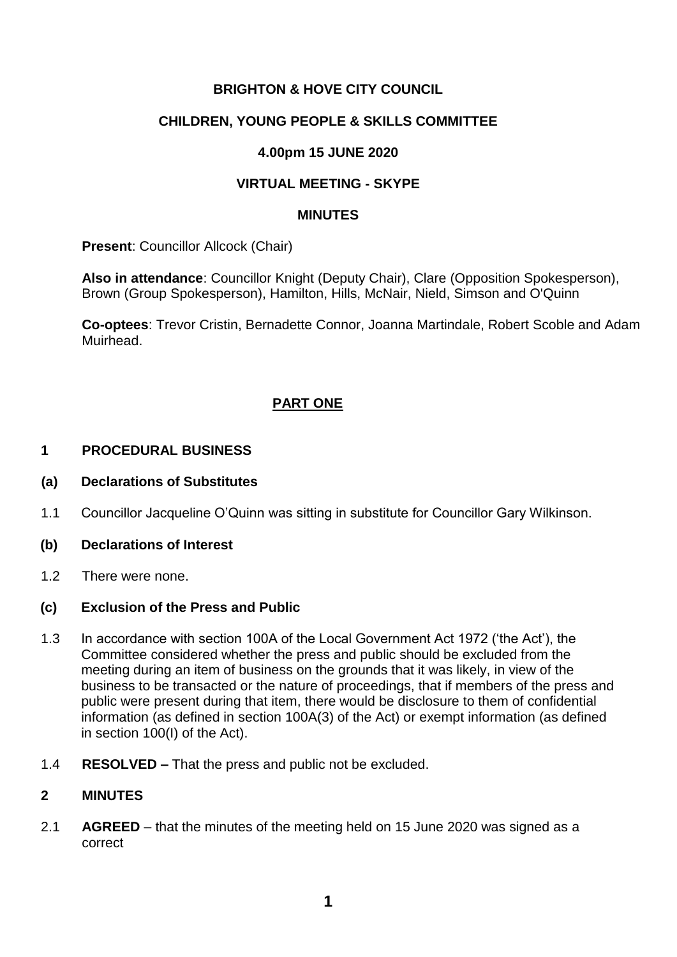### **BRIGHTON & HOVE CITY COUNCIL**

### **CHILDREN, YOUNG PEOPLE & SKILLS COMMITTEE**

### **4.00pm 15 JUNE 2020**

### **VIRTUAL MEETING - SKYPE**

#### **MINUTES**

**Present: Councillor Allcock (Chair)** 

**Also in attendance**: Councillor Knight (Deputy Chair), Clare (Opposition Spokesperson), Brown (Group Spokesperson), Hamilton, Hills, McNair, Nield, Simson and O'Quinn

**Co-optees**: Trevor Cristin, Bernadette Connor, Joanna Martindale, Robert Scoble and Adam Muirhead.

## **PART ONE**

#### **1 PROCEDURAL BUSINESS**

#### **(a) Declarations of Substitutes**

- 1.1 Councillor Jacqueline O'Quinn was sitting in substitute for Councillor Gary Wilkinson.
- **(b) Declarations of Interest**
- 1.2 There were none.

#### **(c) Exclusion of the Press and Public**

- 1.3 In accordance with section 100A of the Local Government Act 1972 ('the Act'), the Committee considered whether the press and public should be excluded from the meeting during an item of business on the grounds that it was likely, in view of the business to be transacted or the nature of proceedings, that if members of the press and public were present during that item, there would be disclosure to them of confidential information (as defined in section 100A(3) of the Act) or exempt information (as defined in section 100(I) of the Act).
- 1.4 **RESOLVED –** That the press and public not be excluded.

#### **2 MINUTES**

2.1 **AGREED** – that the minutes of the meeting held on 15 June 2020 was signed as a correct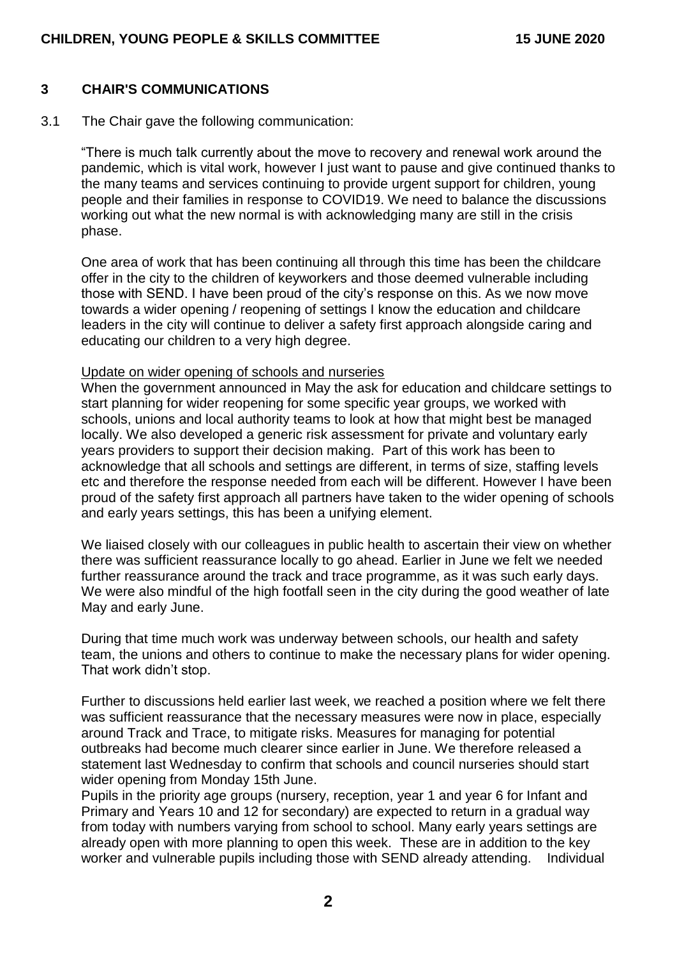#### **3 CHAIR'S COMMUNICATIONS**

3.1 The Chair gave the following communication:

"There is much talk currently about the move to recovery and renewal work around the pandemic, which is vital work, however I just want to pause and give continued thanks to the many teams and services continuing to provide urgent support for children, young people and their families in response to COVID19. We need to balance the discussions working out what the new normal is with acknowledging many are still in the crisis phase.

One area of work that has been continuing all through this time has been the childcare offer in the city to the children of keyworkers and those deemed vulnerable including those with SEND. I have been proud of the city's response on this. As we now move towards a wider opening / reopening of settings I know the education and childcare leaders in the city will continue to deliver a safety first approach alongside caring and educating our children to a very high degree.

#### Update on wider opening of schools and nurseries

When the government announced in May the ask for education and childcare settings to start planning for wider reopening for some specific year groups, we worked with schools, unions and local authority teams to look at how that might best be managed locally. We also developed a generic risk assessment for private and voluntary early years providers to support their decision making. Part of this work has been to acknowledge that all schools and settings are different, in terms of size, staffing levels etc and therefore the response needed from each will be different. However I have been proud of the safety first approach all partners have taken to the wider opening of schools and early years settings, this has been a unifying element.

We liaised closely with our colleagues in public health to ascertain their view on whether there was sufficient reassurance locally to go ahead. Earlier in June we felt we needed further reassurance around the track and trace programme, as it was such early days. We were also mindful of the high footfall seen in the city during the good weather of late May and early June.

During that time much work was underway between schools, our health and safety team, the unions and others to continue to make the necessary plans for wider opening. That work didn't stop.

Further to discussions held earlier last week, we reached a position where we felt there was sufficient reassurance that the necessary measures were now in place, especially around Track and Trace, to mitigate risks. Measures for managing for potential outbreaks had become much clearer since earlier in June. We therefore released a statement last Wednesday to confirm that schools and council nurseries should start wider opening from Monday 15th June.

Pupils in the priority age groups (nursery, reception, year 1 and year 6 for Infant and Primary and Years 10 and 12 for secondary) are expected to return in a gradual way from today with numbers varying from school to school. Many early years settings are already open with more planning to open this week. These are in addition to the key worker and vulnerable pupils including those with SEND already attending. Individual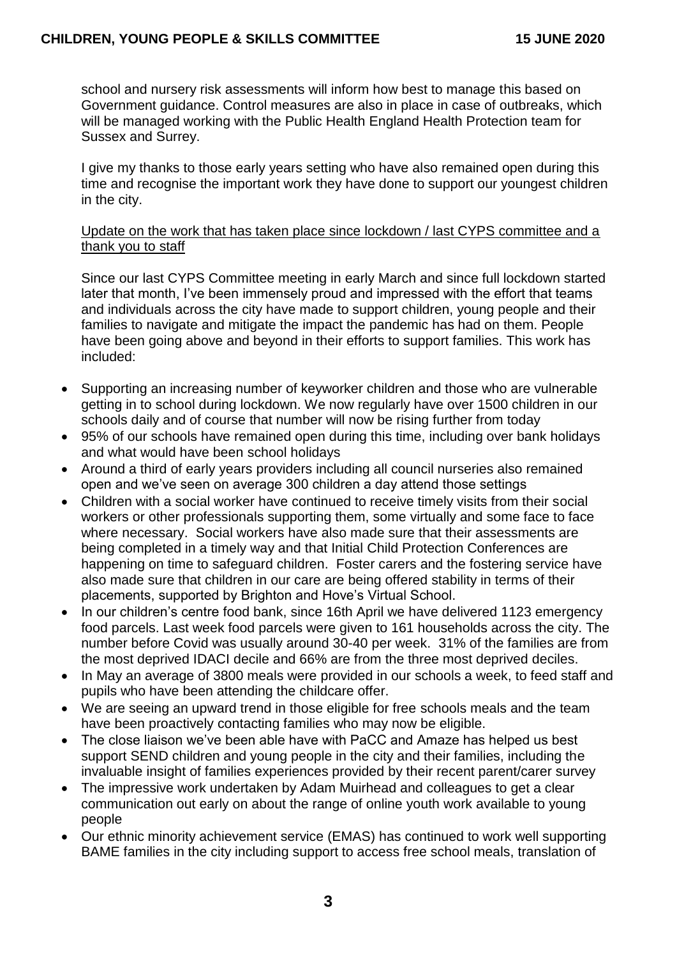school and nursery risk assessments will inform how best to manage this based on Government guidance. Control measures are also in place in case of outbreaks, which will be managed working with the Public Health England Health Protection team for Sussex and Surrey.

I give my thanks to those early years setting who have also remained open during this time and recognise the important work they have done to support our youngest children in the city.

### Update on the work that has taken place since lockdown / last CYPS committee and a thank you to staff

Since our last CYPS Committee meeting in early March and since full lockdown started later that month, I've been immensely proud and impressed with the effort that teams and individuals across the city have made to support children, young people and their families to navigate and mitigate the impact the pandemic has had on them. People have been going above and beyond in their efforts to support families. This work has included:

- Supporting an increasing number of keyworker children and those who are vulnerable getting in to school during lockdown. We now regularly have over 1500 children in our schools daily and of course that number will now be rising further from today
- 95% of our schools have remained open during this time, including over bank holidays and what would have been school holidays
- Around a third of early years providers including all council nurseries also remained open and we've seen on average 300 children a day attend those settings
- Children with a social worker have continued to receive timely visits from their social workers or other professionals supporting them, some virtually and some face to face where necessary. Social workers have also made sure that their assessments are being completed in a timely way and that Initial Child Protection Conferences are happening on time to safeguard children. Foster carers and the fostering service have also made sure that children in our care are being offered stability in terms of their placements, supported by Brighton and Hove's Virtual School.
- In our children's centre food bank, since 16th April we have delivered 1123 emergency food parcels. Last week food parcels were given to 161 households across the city. The number before Covid was usually around 30-40 per week. 31% of the families are from the most deprived IDACI decile and 66% are from the three most deprived deciles.
- In May an average of 3800 meals were provided in our schools a week, to feed staff and pupils who have been attending the childcare offer.
- We are seeing an upward trend in those eligible for free schools meals and the team have been proactively contacting families who may now be eligible.
- The close liaison we've been able have with PaCC and Amaze has helped us best support SEND children and young people in the city and their families, including the invaluable insight of families experiences provided by their recent parent/carer survey
- The impressive work undertaken by Adam Muirhead and colleagues to get a clear communication out early on about the range of online youth work available to young people
- Our ethnic minority achievement service (EMAS) has continued to work well supporting BAME families in the city including support to access free school meals, translation of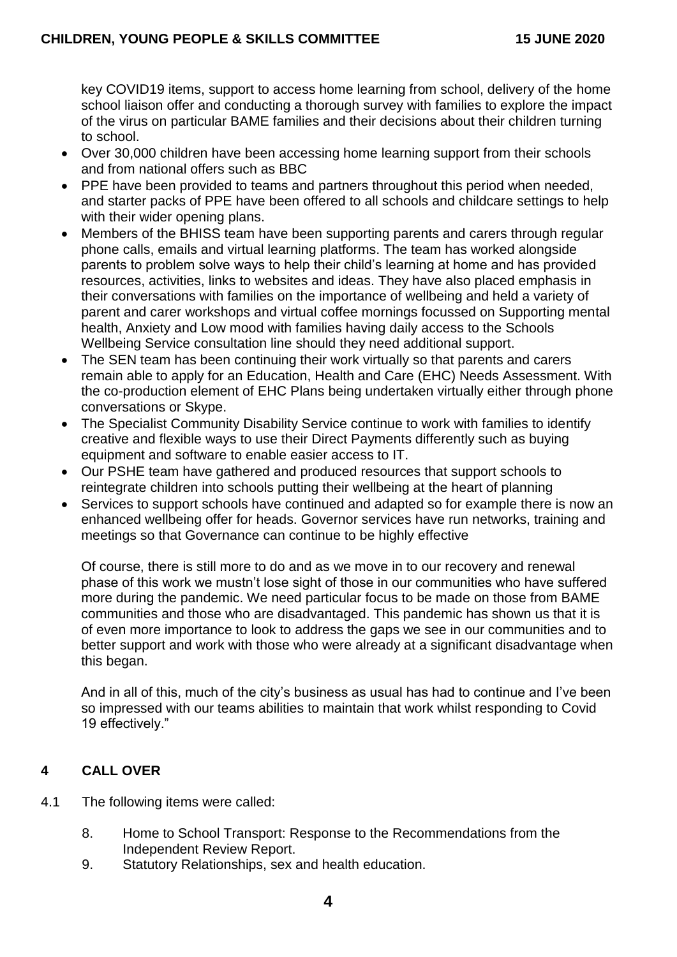key COVID19 items, support to access home learning from school, delivery of the home school liaison offer and conducting a thorough survey with families to explore the impact of the virus on particular BAME families and their decisions about their children turning to school.

- Over 30,000 children have been accessing home learning support from their schools and from national offers such as BBC
- PPE have been provided to teams and partners throughout this period when needed, and starter packs of PPE have been offered to all schools and childcare settings to help with their wider opening plans.
- Members of the BHISS team have been supporting parents and carers through regular phone calls, emails and virtual learning platforms. The team has worked alongside parents to problem solve ways to help their child's learning at home and has provided resources, activities, links to websites and ideas. They have also placed emphasis in their conversations with families on the importance of wellbeing and held a variety of parent and carer workshops and virtual coffee mornings focussed on Supporting mental health, Anxiety and Low mood with families having daily access to the Schools Wellbeing Service consultation line should they need additional support.
- The SEN team has been continuing their work virtually so that parents and carers remain able to apply for an Education, Health and Care (EHC) Needs Assessment. With the co-production element of EHC Plans being undertaken virtually either through phone conversations or Skype.
- The Specialist Community Disability Service continue to work with families to identify creative and flexible ways to use their Direct Payments differently such as buying equipment and software to enable easier access to IT.
- Our PSHE team have gathered and produced resources that support schools to reintegrate children into schools putting their wellbeing at the heart of planning
- Services to support schools have continued and adapted so for example there is now an enhanced wellbeing offer for heads. Governor services have run networks, training and meetings so that Governance can continue to be highly effective

Of course, there is still more to do and as we move in to our recovery and renewal phase of this work we mustn't lose sight of those in our communities who have suffered more during the pandemic. We need particular focus to be made on those from BAME communities and those who are disadvantaged. This pandemic has shown us that it is of even more importance to look to address the gaps we see in our communities and to better support and work with those who were already at a significant disadvantage when this began.

And in all of this, much of the city's business as usual has had to continue and I've been so impressed with our teams abilities to maintain that work whilst responding to Covid 19 effectively."

# **4 CALL OVER**

- 4.1 The following items were called:
	- 8. Home to School Transport: Response to the Recommendations from the Independent Review Report.
	- 9. Statutory Relationships, sex and health education.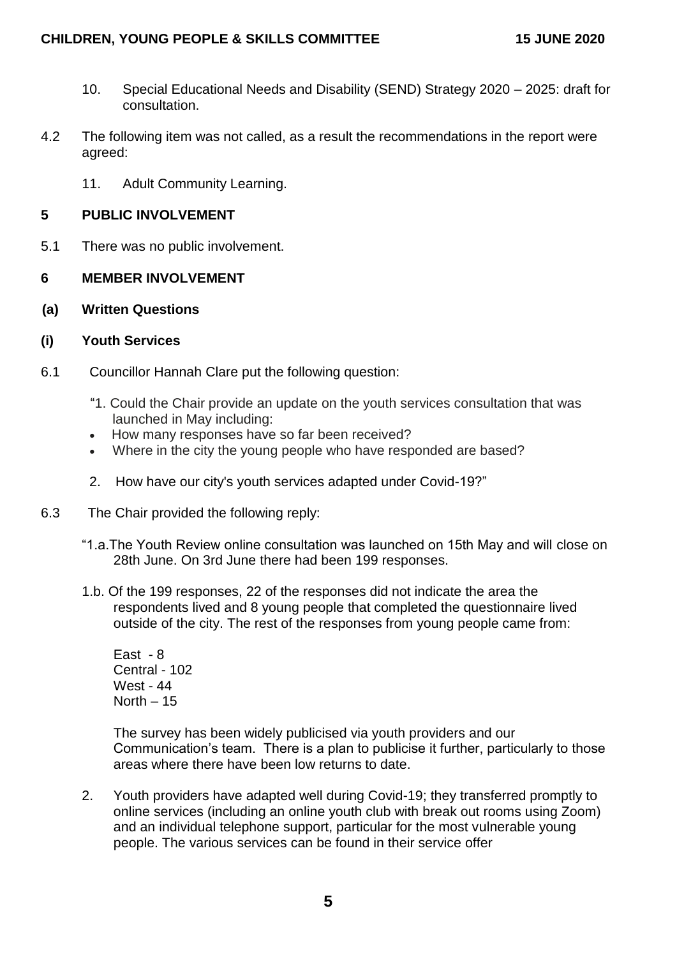- 10. Special Educational Needs and Disability (SEND) Strategy 2020 2025: draft for consultation.
- 4.2 The following item was not called, as a result the recommendations in the report were agreed:
	- 11. Adult Community Learning.

### **5 PUBLIC INVOLVEMENT**

5.1 There was no public involvement.

### **6 MEMBER INVOLVEMENT**

**(a) Written Questions**

### **(i) Youth Services**

- 6.1 Councillor Hannah Clare put the following question:
	- "1. Could the Chair provide an update on the youth services consultation that was launched in May including:
	- How many responses have so far been received?
	- Where in the city the young people who have responded are based?
	- 2. How have our city's youth services adapted under Covid-19?"
- 6.3 The Chair provided the following reply:
	- "1.a.The Youth Review online consultation was launched on 15th May and will close on 28th June. On 3rd June there had been 199 responses.
	- 1.b. Of the 199 responses, 22 of the responses did not indicate the area the respondents lived and 8 young people that completed the questionnaire lived outside of the city. The rest of the responses from young people came from:

East - 8 Central - 102 West - 44 North  $-15$ 

The survey has been widely publicised via youth providers and our Communication's team. There is a plan to publicise it further, particularly to those areas where there have been low returns to date.

2. Youth providers have adapted well during Covid-19; they transferred promptly to online services (including an online youth club with break out rooms using Zoom) and an individual telephone support, particular for the most vulnerable young people. The various services can be found in their service offer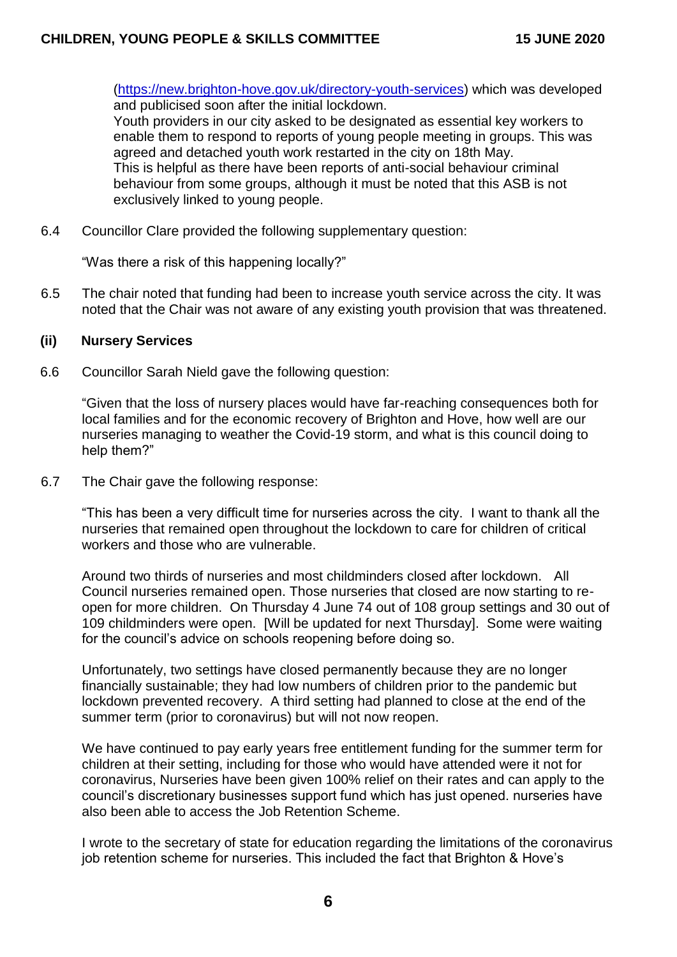[\(https://new.brighton-hove.gov.uk/directory-youth-services\)](https://eur01.safelinks.protection.outlook.com/?url=https%3A%2F%2Fnew.brighton-hove.gov.uk%2Fdirectory-youth-services&data=02%7C01%7Cadammuirhead%40trustdevcom.org.uk%7C5212c4302a7c456bdbba08d7dba469ac%7Cc6eab44a4fa04dfc9a423c01a606d86d%7C0%7C0%7C637219371512077532&sdata=9syOdS73ZvBE3i7SttnvCN0ITymEiqU7w1x539yhe9s%3D&reserved=0) which was developed and publicised soon after the initial lockdown.

Youth providers in our city asked to be designated as essential key workers to enable them to respond to reports of young people meeting in groups. This was agreed and detached youth work restarted in the city on 18th May. This is helpful as there have been reports of anti-social behaviour criminal behaviour from some groups, although it must be noted that this ASB is not exclusively linked to young people.

6.4 Councillor Clare provided the following supplementary question:

"Was there a risk of this happening locally?"

6.5 The chair noted that funding had been to increase youth service across the city. It was noted that the Chair was not aware of any existing youth provision that was threatened.

#### **(ii) Nursery Services**

6.6 Councillor Sarah Nield gave the following question:

"Given that the loss of nursery places would have far-reaching consequences both for local families and for the economic recovery of Brighton and Hove, how well are our nurseries managing to weather the Covid-19 storm, and what is this council doing to help them?"

6.7 The Chair gave the following response:

"This has been a very difficult time for nurseries across the city. I want to thank all the nurseries that remained open throughout the lockdown to care for children of critical workers and those who are vulnerable.

Around two thirds of nurseries and most childminders closed after lockdown. All Council nurseries remained open. Those nurseries that closed are now starting to reopen for more children. On Thursday 4 June 74 out of 108 group settings and 30 out of 109 childminders were open. [Will be updated for next Thursday]. Some were waiting for the council's advice on schools reopening before doing so.

Unfortunately, two settings have closed permanently because they are no longer financially sustainable; they had low numbers of children prior to the pandemic but lockdown prevented recovery. A third setting had planned to close at the end of the summer term (prior to coronavirus) but will not now reopen.

We have continued to pay early years free entitlement funding for the summer term for children at their setting, including for those who would have attended were it not for coronavirus, Nurseries have been given 100% relief on their rates and can apply to the council's discretionary businesses support fund which has just opened. nurseries have also been able to access the Job Retention Scheme.

I wrote to the secretary of state for education regarding the limitations of the coronavirus job retention scheme for nurseries. This included the fact that Brighton & Hove's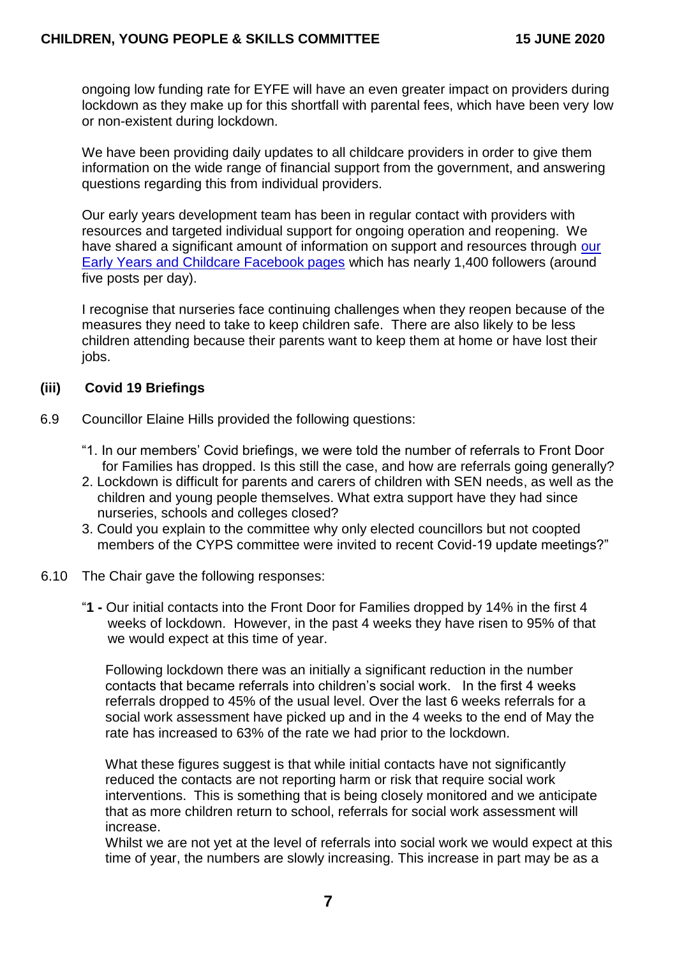ongoing low funding rate for EYFE will have an even greater impact on providers during lockdown as they make up for this shortfall with parental fees, which have been very low or non-existent during lockdown.

We have been providing daily updates to all childcare providers in order to give them information on the wide range of financial support from the government, and answering questions regarding this from individual providers.

Our early years development team has been in regular contact with providers with resources and targeted individual support for ongoing operation and reopening. We have shared a significant amount of information on support and resources through our [Early Years and Childcare Facebook pages](https://www.facebook.com/Earlyyearsandchildcare) which has nearly 1,400 followers (around five posts per day).

I recognise that nurseries face continuing challenges when they reopen because of the measures they need to take to keep children safe. There are also likely to be less children attending because their parents want to keep them at home or have lost their iobs.

### **(iii) Covid 19 Briefings**

- 6.9 Councillor Elaine Hills provided the following questions:
	- "1. In our members' Covid briefings, we were told the number of referrals to Front Door for Families has dropped. Is this still the case, and how are referrals going generally?
	- 2. Lockdown is difficult for parents and carers of children with SEN needs, as well as the children and young people themselves. What extra support have they had since nurseries, schools and colleges closed?
	- 3. Could you explain to the committee why only elected councillors but not coopted members of the CYPS committee were invited to recent Covid-19 update meetings?"
- 6.10 The Chair gave the following responses:
	- "**1 -** Our initial contacts into the Front Door for Families dropped by 14% in the first 4 weeks of lockdown. However, in the past 4 weeks they have risen to 95% of that we would expect at this time of year.

Following lockdown there was an initially a significant reduction in the number contacts that became referrals into children's social work. In the first 4 weeks referrals dropped to 45% of the usual level. Over the last 6 weeks referrals for a social work assessment have picked up and in the 4 weeks to the end of May the rate has increased to 63% of the rate we had prior to the lockdown.

What these figures suggest is that while initial contacts have not significantly reduced the contacts are not reporting harm or risk that require social work interventions. This is something that is being closely monitored and we anticipate that as more children return to school, referrals for social work assessment will increase.

Whilst we are not yet at the level of referrals into social work we would expect at this time of year, the numbers are slowly increasing. This increase in part may be as a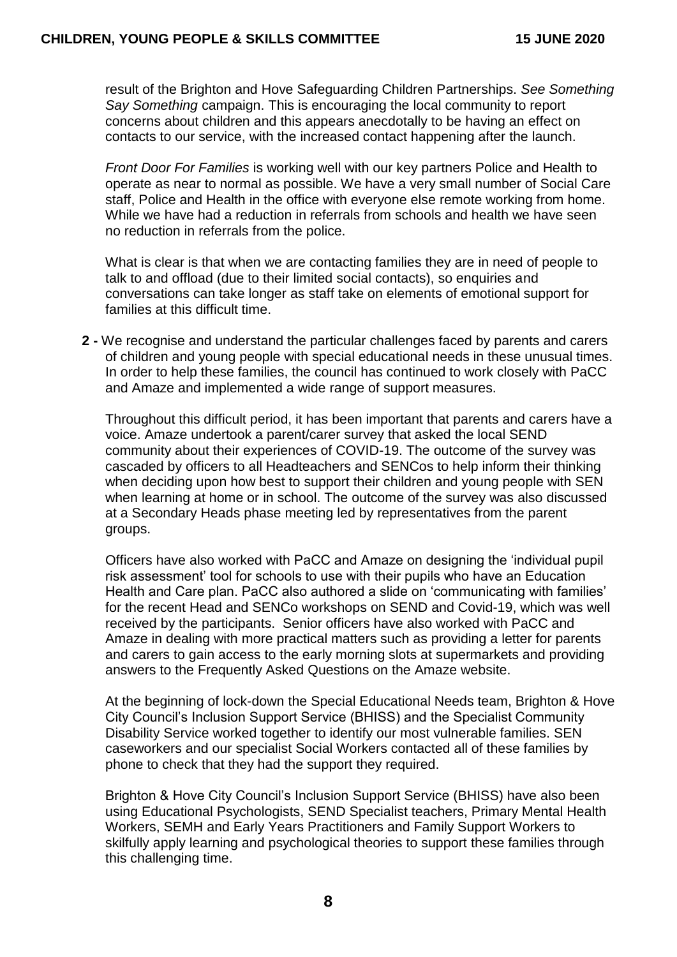result of the Brighton and Hove Safeguarding Children Partnerships. *See Something Say Something* campaign. This is encouraging the local community to report concerns about children and this appears anecdotally to be having an effect on contacts to our service, with the increased contact happening after the launch.

*Front Door For Families* is working well with our key partners Police and Health to operate as near to normal as possible. We have a very small number of Social Care staff, Police and Health in the office with everyone else remote working from home. While we have had a reduction in referrals from schools and health we have seen no reduction in referrals from the police.

What is clear is that when we are contacting families they are in need of people to talk to and offload (due to their limited social contacts), so enquiries and conversations can take longer as staff take on elements of emotional support for families at this difficult time.

**2 -** We recognise and understand the particular challenges faced by parents and carers of children and young people with special educational needs in these unusual times. In order to help these families, the council has continued to work closely with PaCC and Amaze and implemented a wide range of support measures.

Throughout this difficult period, it has been important that parents and carers have a voice. Amaze undertook a parent/carer survey that asked the local SEND community about their experiences of COVID-19. The outcome of the survey was cascaded by officers to all Headteachers and SENCos to help inform their thinking when deciding upon how best to support their children and young people with SEN when learning at home or in school. The outcome of the survey was also discussed at a Secondary Heads phase meeting led by representatives from the parent groups.

Officers have also worked with PaCC and Amaze on designing the 'individual pupil risk assessment' tool for schools to use with their pupils who have an Education Health and Care plan. PaCC also authored a slide on 'communicating with families' for the recent Head and SENCo workshops on SEND and Covid-19, which was well received by the participants. Senior officers have also worked with PaCC and Amaze in dealing with more practical matters such as providing a letter for parents and carers to gain access to the early morning slots at supermarkets and providing answers to the Frequently Asked Questions on the Amaze website.

At the beginning of lock-down the Special Educational Needs team, Brighton & Hove City Council's Inclusion Support Service (BHISS) and the Specialist Community Disability Service worked together to identify our most vulnerable families. SEN caseworkers and our specialist Social Workers contacted all of these families by phone to check that they had the support they required.

Brighton & Hove City Council's Inclusion Support Service (BHISS) have also been using Educational Psychologists, SEND Specialist teachers, Primary Mental Health Workers, SEMH and Early Years Practitioners and Family Support Workers to skilfully apply learning and psychological theories to support these families through this challenging time.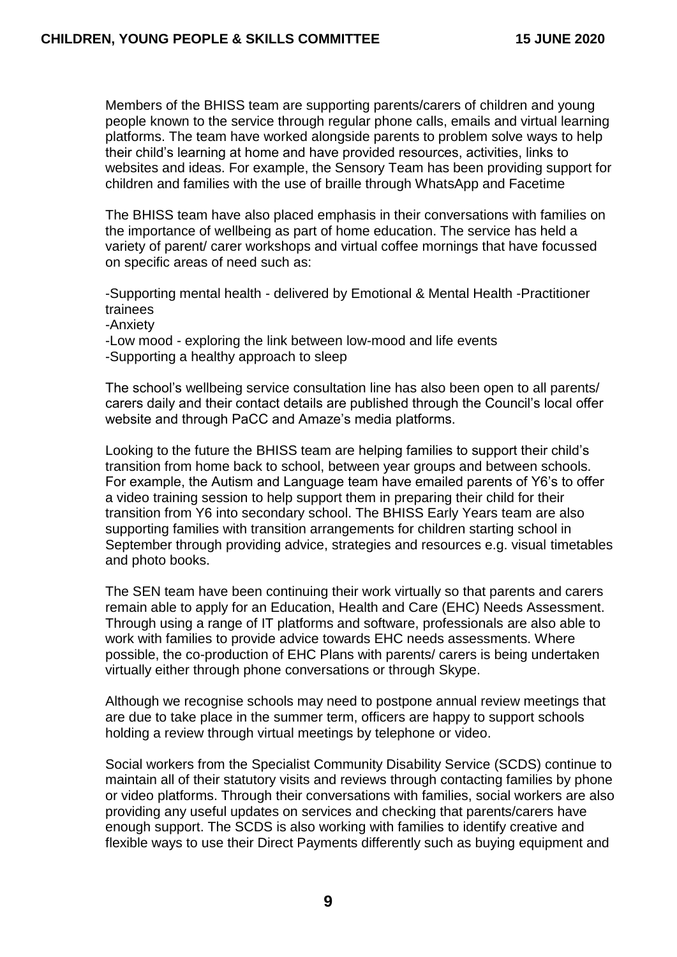Members of the BHISS team are supporting parents/carers of children and young people known to the service through regular phone calls, emails and virtual learning platforms. The team have worked alongside parents to problem solve ways to help their child's learning at home and have provided resources, activities, links to websites and ideas. For example, the Sensory Team has been providing support for children and families with the use of braille through WhatsApp and Facetime

The BHISS team have also placed emphasis in their conversations with families on the importance of wellbeing as part of home education. The service has held a variety of parent/ carer workshops and virtual coffee mornings that have focussed on specific areas of need such as:

-Supporting mental health - delivered by Emotional & Mental Health -Practitioner trainees

-Anxiety

-Low mood - exploring the link between low-mood and life events

-Supporting a healthy approach to sleep

The school's wellbeing service consultation line has also been open to all parents/ carers daily and their contact details are published through the Council's local offer website and through PaCC and Amaze's media platforms.

Looking to the future the BHISS team are helping families to support their child's transition from home back to school, between year groups and between schools. For example, the Autism and Language team have emailed parents of Y6's to offer a video training session to help support them in preparing their child for their transition from Y6 into secondary school. The BHISS Early Years team are also supporting families with transition arrangements for children starting school in September through providing advice, strategies and resources e.g. visual timetables and photo books.

The SEN team have been continuing their work virtually so that parents and carers remain able to apply for an Education, Health and Care (EHC) Needs Assessment. Through using a range of IT platforms and software, professionals are also able to work with families to provide advice towards EHC needs assessments. Where possible, the co-production of EHC Plans with parents/ carers is being undertaken virtually either through phone conversations or through Skype.

Although we recognise schools may need to postpone annual review meetings that are due to take place in the summer term, officers are happy to support schools holding a review through virtual meetings by telephone or video.

Social workers from the Specialist Community Disability Service (SCDS) continue to maintain all of their statutory visits and reviews through contacting families by phone or video platforms. Through their conversations with families, social workers are also providing any useful updates on services and checking that parents/carers have enough support. The SCDS is also working with families to identify creative and flexible ways to use their Direct Payments differently such as buying equipment and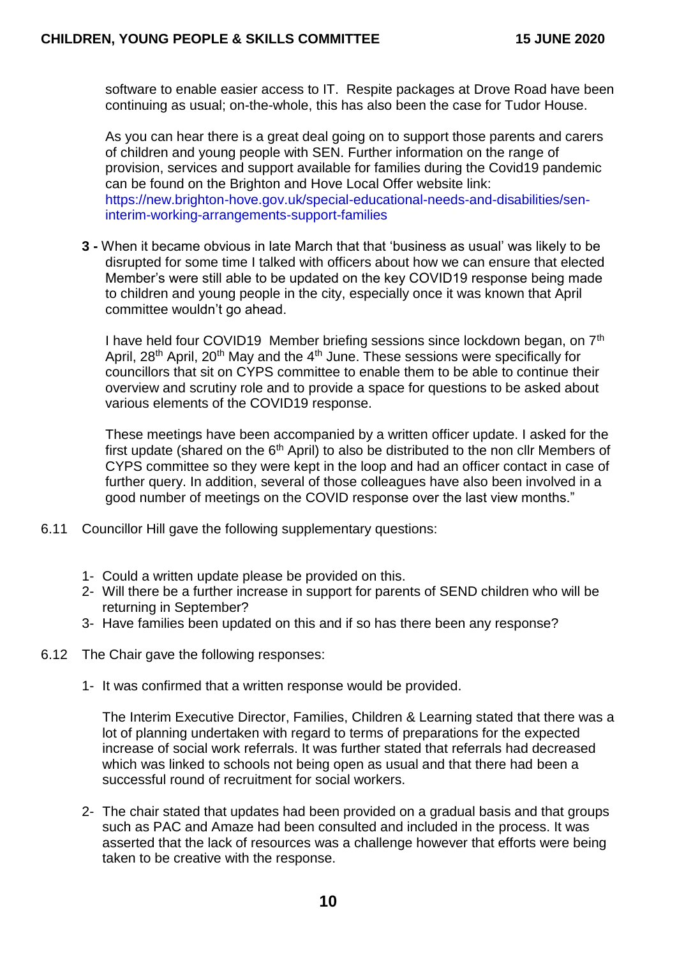software to enable easier access to IT. Respite packages at Drove Road have been continuing as usual; on-the-whole, this has also been the case for Tudor House.

As you can hear there is a great deal going on to support those parents and carers of children and young people with SEN. Further information on the range of provision, services and support available for families during the Covid19 pandemic can be found on the Brighton and Hove Local Offer website link: [https://new.brighton-hove.gov.uk/special-educational-needs-and-disabilities/sen](https://new.brighton-hove.gov.uk/special-educational-needs-and-disabilities/sen-interim-working-arrangements-support-families)[interim-working-arrangements-support-families](https://new.brighton-hove.gov.uk/special-educational-needs-and-disabilities/sen-interim-working-arrangements-support-families)

**3 -** When it became obvious in late March that that 'business as usual' was likely to be disrupted for some time I talked with officers about how we can ensure that elected Member's were still able to be updated on the key COVID19 response being made to children and young people in the city, especially once it was known that April committee wouldn't go ahead.

I have held four COVID19 Member briefing sessions since lockdown began, on 7th April, 28<sup>th</sup> April, 20<sup>th</sup> May and the 4<sup>th</sup> June. These sessions were specifically for councillors that sit on CYPS committee to enable them to be able to continue their overview and scrutiny role and to provide a space for questions to be asked about various elements of the COVID19 response.

These meetings have been accompanied by a written officer update. I asked for the first update (shared on the  $6<sup>th</sup>$  April) to also be distributed to the non cllr Members of CYPS committee so they were kept in the loop and had an officer contact in case of further query. In addition, several of those colleagues have also been involved in a good number of meetings on the COVID response over the last view months."

- 6.11 Councillor Hill gave the following supplementary questions:
	- 1- Could a written update please be provided on this.
	- 2- Will there be a further increase in support for parents of SEND children who will be returning in September?
	- 3- Have families been updated on this and if so has there been any response?
- 6.12 The Chair gave the following responses:
	- 1- It was confirmed that a written response would be provided.

The Interim Executive Director, Families, Children & Learning stated that there was a lot of planning undertaken with regard to terms of preparations for the expected increase of social work referrals. It was further stated that referrals had decreased which was linked to schools not being open as usual and that there had been a successful round of recruitment for social workers.

2- The chair stated that updates had been provided on a gradual basis and that groups such as PAC and Amaze had been consulted and included in the process. It was asserted that the lack of resources was a challenge however that efforts were being taken to be creative with the response.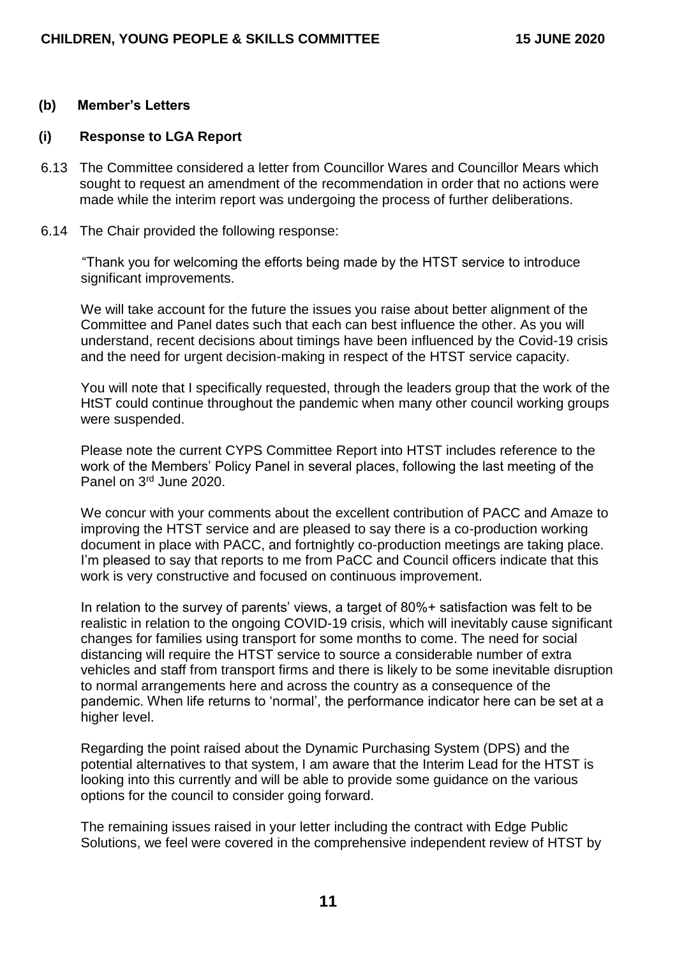#### **(b) Member's Letters**

#### **(i) Response to LGA Report**

- 6.13 The Committee considered a letter from Councillor Wares and Councillor Mears which sought to request an amendment of the recommendation in order that no actions were made while the interim report was undergoing the process of further deliberations.
- 6.14 The Chair provided the following response:

"Thank you for welcoming the efforts being made by the HTST service to introduce significant improvements.

We will take account for the future the issues you raise about better alignment of the Committee and Panel dates such that each can best influence the other. As you will understand, recent decisions about timings have been influenced by the Covid-19 crisis and the need for urgent decision-making in respect of the HTST service capacity.

You will note that I specifically requested, through the leaders group that the work of the HtST could continue throughout the pandemic when many other council working groups were suspended.

Please note the current CYPS Committee Report into HTST includes reference to the work of the Members' Policy Panel in several places, following the last meeting of the Panel on 3rd June 2020.

We concur with your comments about the excellent contribution of PACC and Amaze to improving the HTST service and are pleased to say there is a co-production working document in place with PACC, and fortnightly co-production meetings are taking place. I'm pleased to say that reports to me from PaCC and Council officers indicate that this work is very constructive and focused on continuous improvement.

In relation to the survey of parents' views, a target of 80%+ satisfaction was felt to be realistic in relation to the ongoing COVID-19 crisis, which will inevitably cause significant changes for families using transport for some months to come. The need for social distancing will require the HTST service to source a considerable number of extra vehicles and staff from transport firms and there is likely to be some inevitable disruption to normal arrangements here and across the country as a consequence of the pandemic. When life returns to 'normal', the performance indicator here can be set at a higher level.

Regarding the point raised about the Dynamic Purchasing System (DPS) and the potential alternatives to that system, I am aware that the Interim Lead for the HTST is looking into this currently and will be able to provide some guidance on the various options for the council to consider going forward.

The remaining issues raised in your letter including the contract with Edge Public Solutions, we feel were covered in the comprehensive independent review of HTST by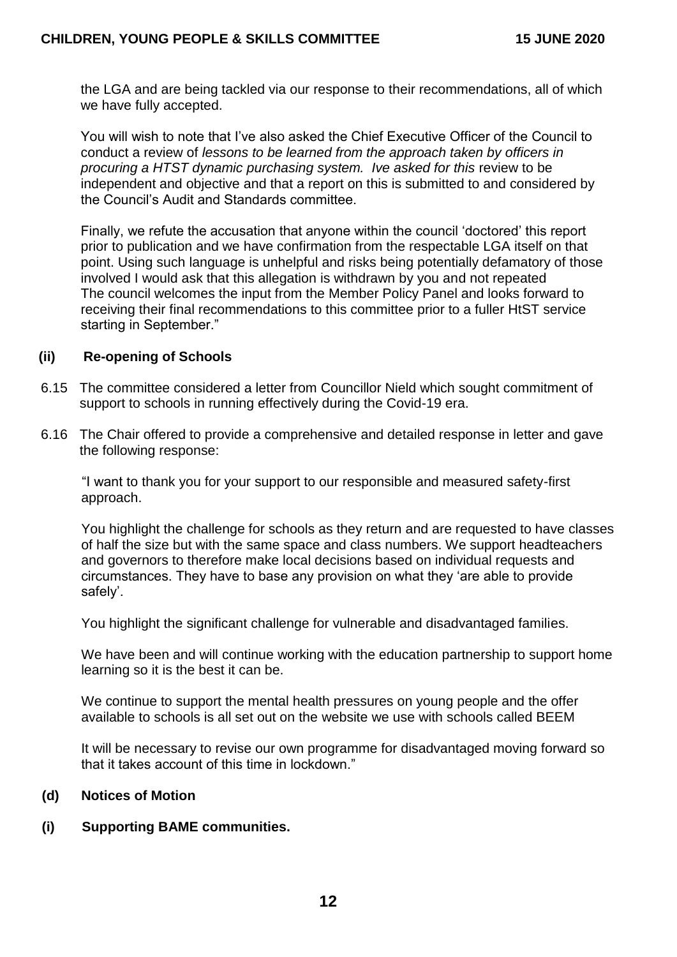the LGA and are being tackled via our response to their recommendations, all of which we have fully accepted.

You will wish to note that I've also asked the Chief Executive Officer of the Council to conduct a review of *lessons to be learned from the approach taken by officers in procuring a HTST dynamic purchasing system. Ive asked for this* review to be independent and objective and that a report on this is submitted to and considered by the Council's Audit and Standards committee.

Finally, we refute the accusation that anyone within the council 'doctored' this report prior to publication and we have confirmation from the respectable LGA itself on that point. Using such language is unhelpful and risks being potentially defamatory of those involved I would ask that this allegation is withdrawn by you and not repeated The council welcomes the input from the Member Policy Panel and looks forward to receiving their final recommendations to this committee prior to a fuller HtST service starting in September."

#### **(ii) Re-opening of Schools**

- 6.15 The committee considered a letter from Councillor Nield which sought commitment of support to schools in running effectively during the Covid-19 era.
- 6.16 The Chair offered to provide a comprehensive and detailed response in letter and gave the following response:

"I want to thank you for your support to our responsible and measured safety-first approach.

You highlight the challenge for schools as they return and are requested to have classes of half the size but with the same space and class numbers. We support headteachers and governors to therefore make local decisions based on individual requests and circumstances. They have to base any provision on what they 'are able to provide safely'.

You highlight the significant challenge for vulnerable and disadvantaged families.

We have been and will continue working with the education partnership to support home learning so it is the best it can be.

We continue to support the mental health pressures on young people and the offer available to schools is all set out on the website we use with schools called BEEM

It will be necessary to revise our own programme for disadvantaged moving forward so that it takes account of this time in lockdown."

#### **(d) Notices of Motion**

#### **(i) Supporting BAME communities.**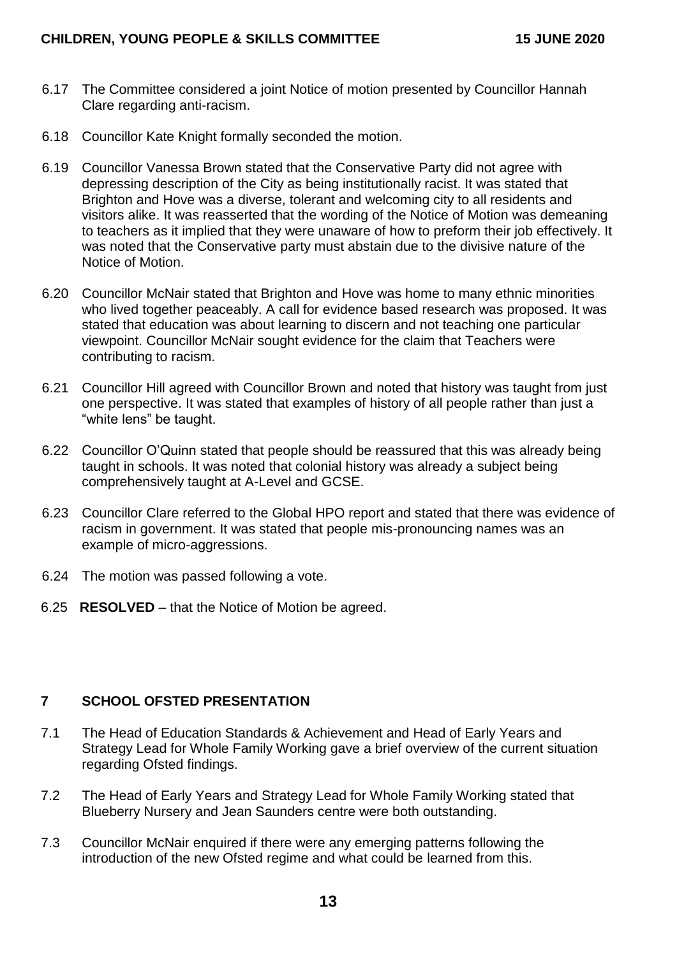- 6.17 The Committee considered a joint Notice of motion presented by Councillor Hannah Clare regarding anti-racism.
- 6.18 Councillor Kate Knight formally seconded the motion.
- 6.19 Councillor Vanessa Brown stated that the Conservative Party did not agree with depressing description of the City as being institutionally racist. It was stated that Brighton and Hove was a diverse, tolerant and welcoming city to all residents and visitors alike. It was reasserted that the wording of the Notice of Motion was demeaning to teachers as it implied that they were unaware of how to preform their job effectively. It was noted that the Conservative party must abstain due to the divisive nature of the Notice of Motion.
- 6.20 Councillor McNair stated that Brighton and Hove was home to many ethnic minorities who lived together peaceably. A call for evidence based research was proposed. It was stated that education was about learning to discern and not teaching one particular viewpoint. Councillor McNair sought evidence for the claim that Teachers were contributing to racism.
- 6.21 Councillor Hill agreed with Councillor Brown and noted that history was taught from just one perspective. It was stated that examples of history of all people rather than just a "white lens" be taught.
- 6.22 Councillor O'Quinn stated that people should be reassured that this was already being taught in schools. It was noted that colonial history was already a subject being comprehensively taught at A-Level and GCSE.
- 6.23 Councillor Clare referred to the Global HPO report and stated that there was evidence of racism in government. It was stated that people mis-pronouncing names was an example of micro-aggressions.
- 6.24 The motion was passed following a vote.
- 6.25 **RESOLVED** that the Notice of Motion be agreed.

## **7 SCHOOL OFSTED PRESENTATION**

- 7.1 The Head of Education Standards & Achievement and Head of Early Years and Strategy Lead for Whole Family Working gave a brief overview of the current situation regarding Ofsted findings.
- 7.2 The Head of Early Years and Strategy Lead for Whole Family Working stated that Blueberry Nursery and Jean Saunders centre were both outstanding.
- 7.3 Councillor McNair enquired if there were any emerging patterns following the introduction of the new Ofsted regime and what could be learned from this.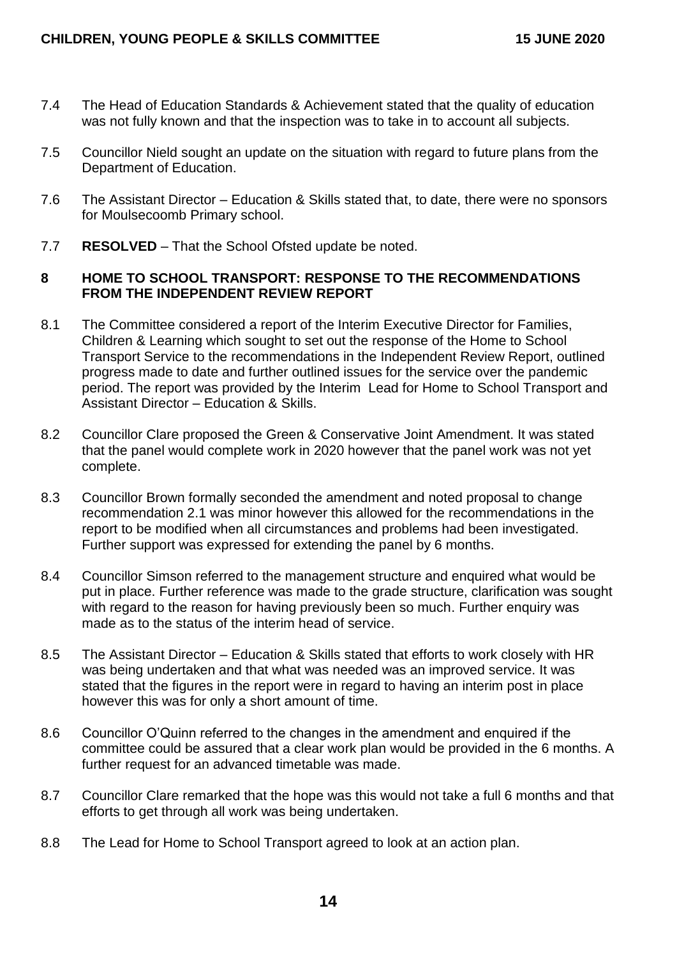- 7.4 The Head of Education Standards & Achievement stated that the quality of education was not fully known and that the inspection was to take in to account all subjects.
- 7.5 Councillor Nield sought an update on the situation with regard to future plans from the Department of Education.
- 7.6 The Assistant Director Education & Skills stated that, to date, there were no sponsors for Moulsecoomb Primary school.
- 7.7 **RESOLVED** That the School Ofsted update be noted.

#### **8 HOME TO SCHOOL TRANSPORT: RESPONSE TO THE RECOMMENDATIONS FROM THE INDEPENDENT REVIEW REPORT**

- 8.1 The Committee considered a report of the Interim Executive Director for Families, Children & Learning which sought to set out the response of the Home to School Transport Service to the recommendations in the Independent Review Report, outlined progress made to date and further outlined issues for the service over the pandemic period. The report was provided by the Interim Lead for Home to School Transport and Assistant Director – Education & Skills.
- 8.2 Councillor Clare proposed the Green & Conservative Joint Amendment. It was stated that the panel would complete work in 2020 however that the panel work was not yet complete.
- 8.3 Councillor Brown formally seconded the amendment and noted proposal to change recommendation 2.1 was minor however this allowed for the recommendations in the report to be modified when all circumstances and problems had been investigated. Further support was expressed for extending the panel by 6 months.
- 8.4 Councillor Simson referred to the management structure and enquired what would be put in place. Further reference was made to the grade structure, clarification was sought with regard to the reason for having previously been so much. Further enquiry was made as to the status of the interim head of service.
- 8.5 The Assistant Director Education & Skills stated that efforts to work closely with HR was being undertaken and that what was needed was an improved service. It was stated that the figures in the report were in regard to having an interim post in place however this was for only a short amount of time.
- 8.6 Councillor O'Quinn referred to the changes in the amendment and enquired if the committee could be assured that a clear work plan would be provided in the 6 months. A further request for an advanced timetable was made.
- 8.7 Councillor Clare remarked that the hope was this would not take a full 6 months and that efforts to get through all work was being undertaken.
- 8.8 The Lead for Home to School Transport agreed to look at an action plan.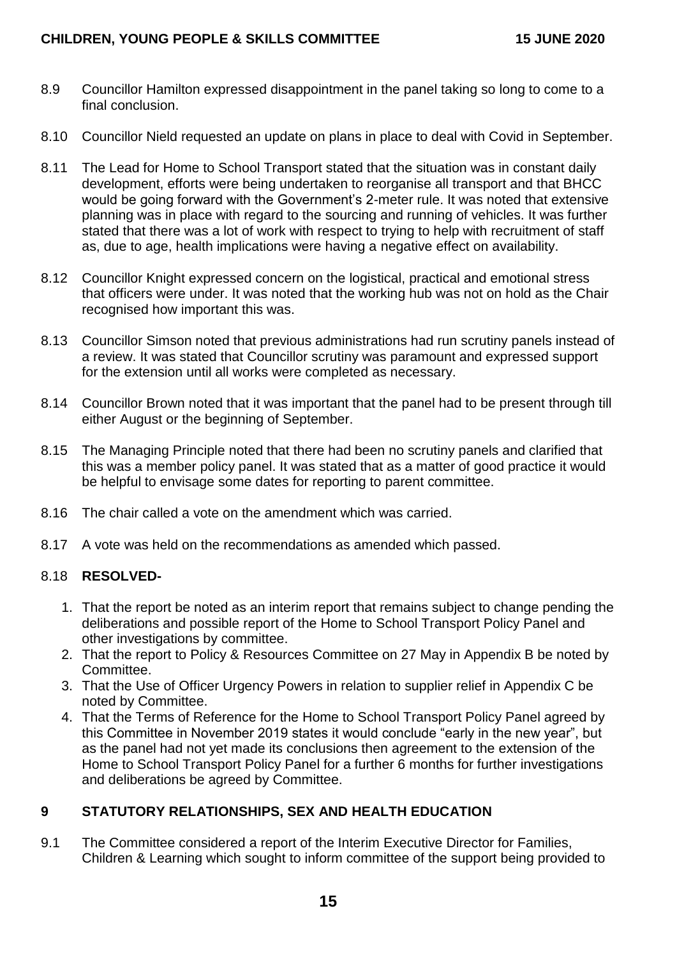- 8.9 Councillor Hamilton expressed disappointment in the panel taking so long to come to a final conclusion.
- 8.10 Councillor Nield requested an update on plans in place to deal with Covid in September.
- 8.11 The Lead for Home to School Transport stated that the situation was in constant daily development, efforts were being undertaken to reorganise all transport and that BHCC would be going forward with the Government's 2-meter rule. It was noted that extensive planning was in place with regard to the sourcing and running of vehicles. It was further stated that there was a lot of work with respect to trying to help with recruitment of staff as, due to age, health implications were having a negative effect on availability.
- 8.12 Councillor Knight expressed concern on the logistical, practical and emotional stress that officers were under. It was noted that the working hub was not on hold as the Chair recognised how important this was.
- 8.13 Councillor Simson noted that previous administrations had run scrutiny panels instead of a review. It was stated that Councillor scrutiny was paramount and expressed support for the extension until all works were completed as necessary.
- 8.14 Councillor Brown noted that it was important that the panel had to be present through till either August or the beginning of September.
- 8.15 The Managing Principle noted that there had been no scrutiny panels and clarified that this was a member policy panel. It was stated that as a matter of good practice it would be helpful to envisage some dates for reporting to parent committee.
- 8.16 The chair called a vote on the amendment which was carried.
- 8.17 A vote was held on the recommendations as amended which passed.

#### 8.18 **RESOLVED-**

- 1. That the report be noted as an interim report that remains subject to change pending the deliberations and possible report of the Home to School Transport Policy Panel and other investigations by committee.
- 2. That the report to Policy & Resources Committee on 27 May in Appendix B be noted by Committee.
- 3. That the Use of Officer Urgency Powers in relation to supplier relief in Appendix C be noted by Committee.
- 4. That the Terms of Reference for the Home to School Transport Policy Panel agreed by this Committee in November 2019 states it would conclude "early in the new year", but as the panel had not yet made its conclusions then agreement to the extension of the Home to School Transport Policy Panel for a further 6 months for further investigations and deliberations be agreed by Committee.

## **9 STATUTORY RELATIONSHIPS, SEX AND HEALTH EDUCATION**

9.1 The Committee considered a report of the Interim Executive Director for Families, Children & Learning which sought to inform committee of the support being provided to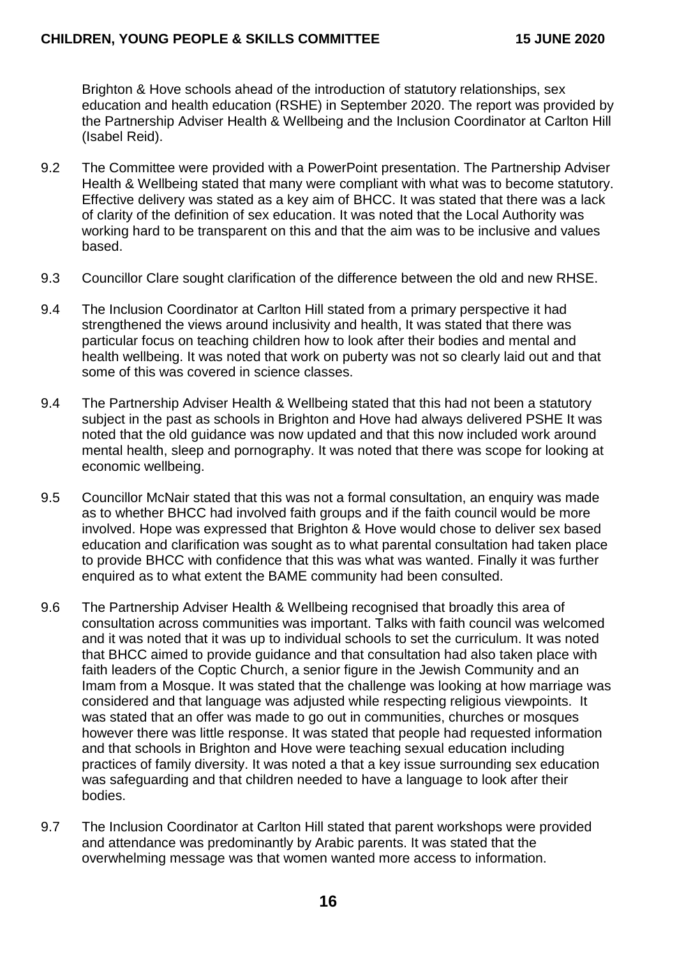Brighton & Hove schools ahead of the introduction of statutory relationships, sex education and health education (RSHE) in September 2020. The report was provided by the Partnership Adviser Health & Wellbeing and the Inclusion Coordinator at Carlton Hill (Isabel Reid).

- 9.2 The Committee were provided with a PowerPoint presentation. The Partnership Adviser Health & Wellbeing stated that many were compliant with what was to become statutory. Effective delivery was stated as a key aim of BHCC. It was stated that there was a lack of clarity of the definition of sex education. It was noted that the Local Authority was working hard to be transparent on this and that the aim was to be inclusive and values based.
- 9.3 Councillor Clare sought clarification of the difference between the old and new RHSE.
- 9.4 The Inclusion Coordinator at Carlton Hill stated from a primary perspective it had strengthened the views around inclusivity and health, It was stated that there was particular focus on teaching children how to look after their bodies and mental and health wellbeing. It was noted that work on puberty was not so clearly laid out and that some of this was covered in science classes.
- 9.4 The Partnership Adviser Health & Wellbeing stated that this had not been a statutory subject in the past as schools in Brighton and Hove had always delivered PSHE It was noted that the old guidance was now updated and that this now included work around mental health, sleep and pornography. It was noted that there was scope for looking at economic wellbeing.
- 9.5 Councillor McNair stated that this was not a formal consultation, an enquiry was made as to whether BHCC had involved faith groups and if the faith council would be more involved. Hope was expressed that Brighton & Hove would chose to deliver sex based education and clarification was sought as to what parental consultation had taken place to provide BHCC with confidence that this was what was wanted. Finally it was further enquired as to what extent the BAME community had been consulted.
- 9.6 The Partnership Adviser Health & Wellbeing recognised that broadly this area of consultation across communities was important. Talks with faith council was welcomed and it was noted that it was up to individual schools to set the curriculum. It was noted that BHCC aimed to provide guidance and that consultation had also taken place with faith leaders of the Coptic Church, a senior figure in the Jewish Community and an Imam from a Mosque. It was stated that the challenge was looking at how marriage was considered and that language was adjusted while respecting religious viewpoints. It was stated that an offer was made to go out in communities, churches or mosques however there was little response. It was stated that people had requested information and that schools in Brighton and Hove were teaching sexual education including practices of family diversity. It was noted a that a key issue surrounding sex education was safeguarding and that children needed to have a language to look after their bodies.
- 9.7 The Inclusion Coordinator at Carlton Hill stated that parent workshops were provided and attendance was predominantly by Arabic parents. It was stated that the overwhelming message was that women wanted more access to information.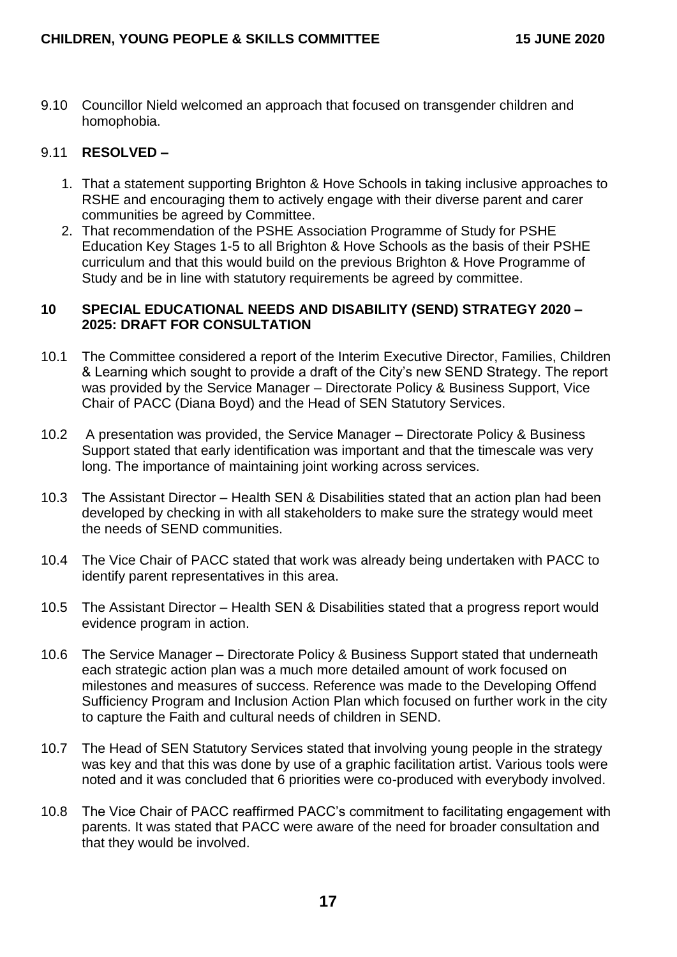9.10 Councillor Nield welcomed an approach that focused on transgender children and homophobia.

## 9.11 **RESOLVED –**

- 1. That a statement supporting Brighton & Hove Schools in taking inclusive approaches to RSHE and encouraging them to actively engage with their diverse parent and carer communities be agreed by Committee.
- 2. That recommendation of the PSHE Association Programme of Study for PSHE Education Key Stages 1-5 to all Brighton & Hove Schools as the basis of their PSHE curriculum and that this would build on the previous Brighton & Hove Programme of Study and be in line with statutory requirements be agreed by committee.

#### **10 SPECIAL EDUCATIONAL NEEDS AND DISABILITY (SEND) STRATEGY 2020 – 2025: DRAFT FOR CONSULTATION**

- 10.1 The Committee considered a report of the Interim Executive Director, Families, Children & Learning which sought to provide a draft of the City's new SEND Strategy. The report was provided by the Service Manager – Directorate Policy & Business Support, Vice Chair of PACC (Diana Boyd) and the Head of SEN Statutory Services.
- 10.2 A presentation was provided, the Service Manager Directorate Policy & Business Support stated that early identification was important and that the timescale was very long. The importance of maintaining joint working across services.
- 10.3 The Assistant Director Health SEN & Disabilities stated that an action plan had been developed by checking in with all stakeholders to make sure the strategy would meet the needs of SEND communities.
- 10.4 The Vice Chair of PACC stated that work was already being undertaken with PACC to identify parent representatives in this area.
- 10.5 The Assistant Director Health SEN & Disabilities stated that a progress report would evidence program in action.
- 10.6 The Service Manager Directorate Policy & Business Support stated that underneath each strategic action plan was a much more detailed amount of work focused on milestones and measures of success. Reference was made to the Developing Offend Sufficiency Program and Inclusion Action Plan which focused on further work in the city to capture the Faith and cultural needs of children in SEND.
- 10.7 The Head of SEN Statutory Services stated that involving young people in the strategy was key and that this was done by use of a graphic facilitation artist. Various tools were noted and it was concluded that 6 priorities were co-produced with everybody involved.
- 10.8 The Vice Chair of PACC reaffirmed PACC's commitment to facilitating engagement with parents. It was stated that PACC were aware of the need for broader consultation and that they would be involved.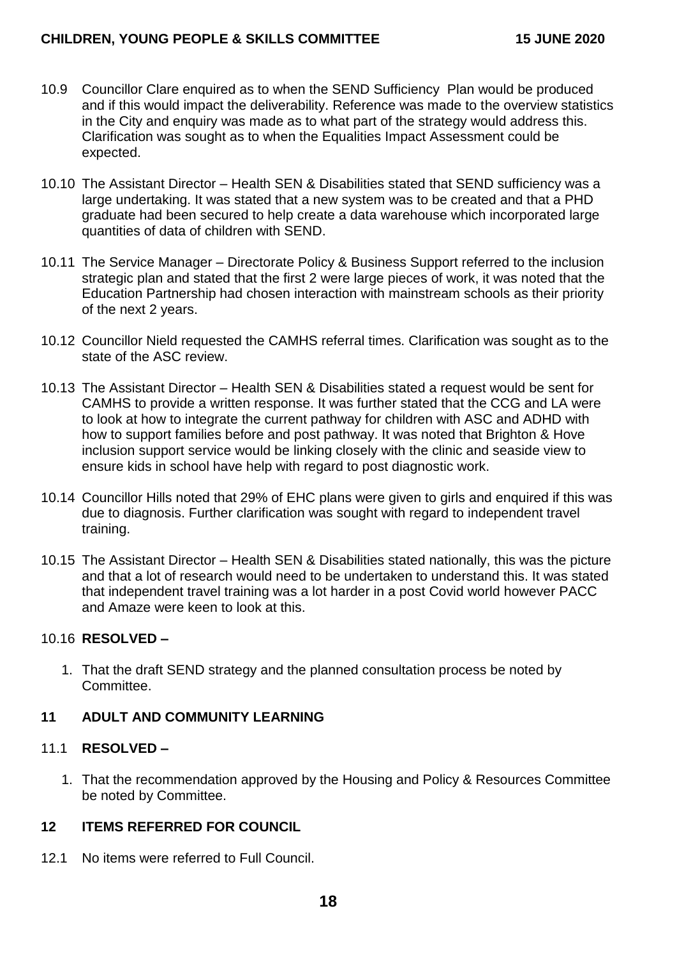### **CHILDREN, YOUNG PEOPLE & SKILLS COMMITTEE 15 JUNE 2020**

- 10.9 Councillor Clare enquired as to when the SEND Sufficiency Plan would be produced and if this would impact the deliverability. Reference was made to the overview statistics in the City and enquiry was made as to what part of the strategy would address this. Clarification was sought as to when the Equalities Impact Assessment could be expected.
- 10.10 The Assistant Director Health SEN & Disabilities stated that SEND sufficiency was a large undertaking. It was stated that a new system was to be created and that a PHD graduate had been secured to help create a data warehouse which incorporated large quantities of data of children with SEND.
- 10.11 The Service Manager Directorate Policy & Business Support referred to the inclusion strategic plan and stated that the first 2 were large pieces of work, it was noted that the Education Partnership had chosen interaction with mainstream schools as their priority of the next 2 years.
- 10.12 Councillor Nield requested the CAMHS referral times. Clarification was sought as to the state of the ASC review.
- 10.13 The Assistant Director Health SEN & Disabilities stated a request would be sent for CAMHS to provide a written response. It was further stated that the CCG and LA were to look at how to integrate the current pathway for children with ASC and ADHD with how to support families before and post pathway. It was noted that Brighton & Hove inclusion support service would be linking closely with the clinic and seaside view to ensure kids in school have help with regard to post diagnostic work.
- 10.14 Councillor Hills noted that 29% of EHC plans were given to girls and enquired if this was due to diagnosis. Further clarification was sought with regard to independent travel training.
- 10.15 The Assistant Director Health SEN & Disabilities stated nationally, this was the picture and that a lot of research would need to be undertaken to understand this. It was stated that independent travel training was a lot harder in a post Covid world however PACC and Amaze were keen to look at this.

#### 10.16 **RESOLVED –**

1. That the draft SEND strategy and the planned consultation process be noted by Committee.

### **11 ADULT AND COMMUNITY LEARNING**

#### 11.1 **RESOLVED –**

1. That the recommendation approved by the Housing and Policy & Resources Committee be noted by Committee.

### **12 ITEMS REFERRED FOR COUNCIL**

12.1 No items were referred to Full Council.